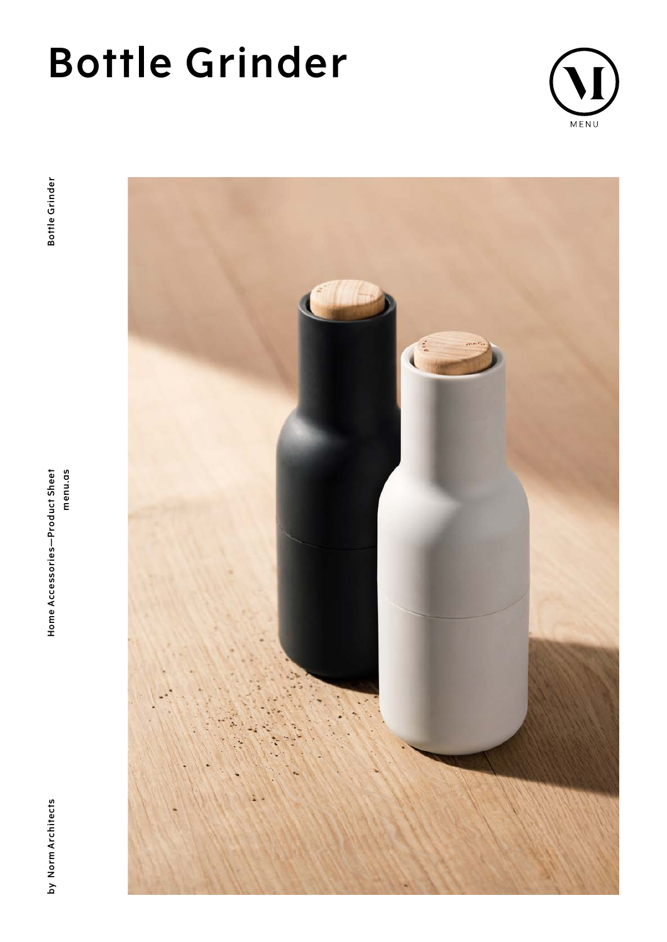# **Bottle Grinder**



**by Norm Architects Home Accessories—Product Sheet menu.as Bottle Grinder**Home Accessories-Product Sheet menu.as

by Norm Architects

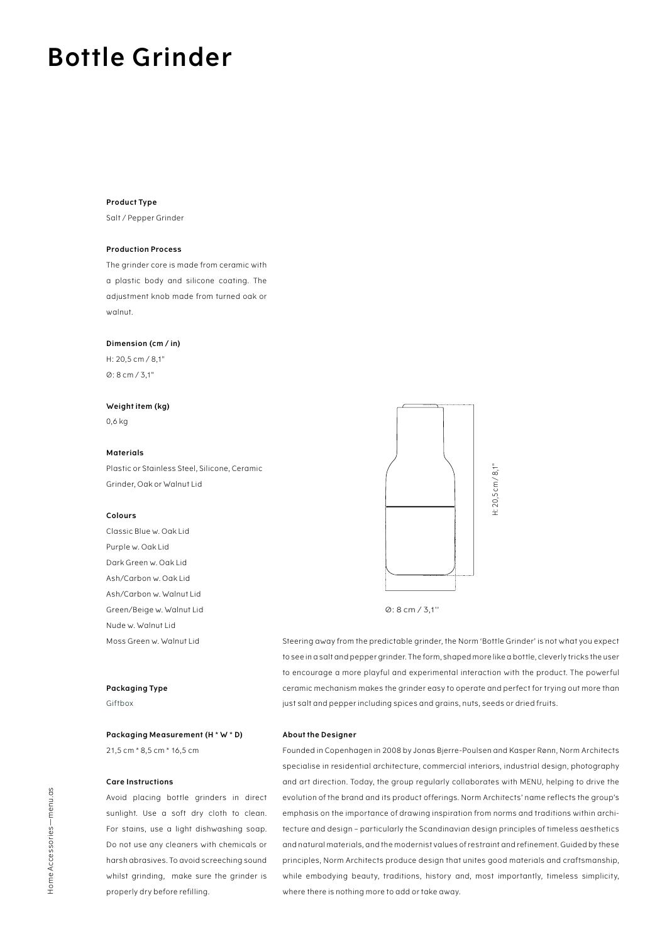# **Bottle Grinder**

### **Product Type**

Salt / Pepper Grinder

# **Production Process**

The grinder core is made from ceramic with a plastic body and silicone coating. The adjustment knob made from turned oak or walnut.

### **Dimension (cm / in)**

H: 20,5 cm / 8,1" Ø: 8 cm / 3,1"

### **Weight item (kg)**

0,6 kg

## **Materials**

Plastic or Stainless Steel, Silicone, Ceramic Grinder, Oak or Walnut Lid

### **Colours**

Classic Blue w. Oak Lid Purple w. Oak Lid Dark Green w. Oak Lid Ash/Carbon w. Oak Lid Ash/Carbon w. Walnut Lid Green/Beige w. Walnut Lid Nude w. Walnut Lid Moss Green w. Walnut Lid

# **Packaging Type** Giftbox

**Packaging Measurement (H \* W \* D)** 21,5 cm \* 8,5 cm \* 16,5 cm

# **Care Instructions**

Avoid placing bottle grinders in direct sunlight. Use a soft dry cloth to clean. For stains, use a light dishwashing soap. Do not use any cleaners with chemicals or harsh abrasives. To avoid screeching sound whilst grinding, make sure the grinder is properly dry before refilling.



### Ø: 8 cm / 3,1''

Steering away from the predictable grinder, the Norm 'Bottle Grinder' is not what you expect to see in a salt and pepper grinder. The form, shaped more like a bottle, cleverly tricks the user to encourage a more playful and experimental interaction with the product. The powerful ceramic mechanism makes the grinder easy to operate and perfect for trying out more than just salt and pepper including spices and grains, nuts, seeds or dried fruits.

# **About the Designer**

Founded in Copenhagen in 2008 by Jonas Bjerre-Poulsen and Kasper Rønn, Norm Architects specialise in residential architecture, commercial interiors, industrial design, photography and art direction. Today, the group regularly collaborates with MENU, helping to drive the evolution of the brand and its product offerings. Norm Architects' name reflects the group's emphasis on the importance of drawing inspiration from norms and traditions within architecture and design – particularly the Scandinavian design principles of timeless aesthetics and natural materials, and the modernist values of restraint and refinement. Guided by these principles, Norm Architects produce design that unites good materials and craftsmanship, while embodying beauty, traditions, history and, most importantly, timeless simplicity, where there is nothing more to add or take away.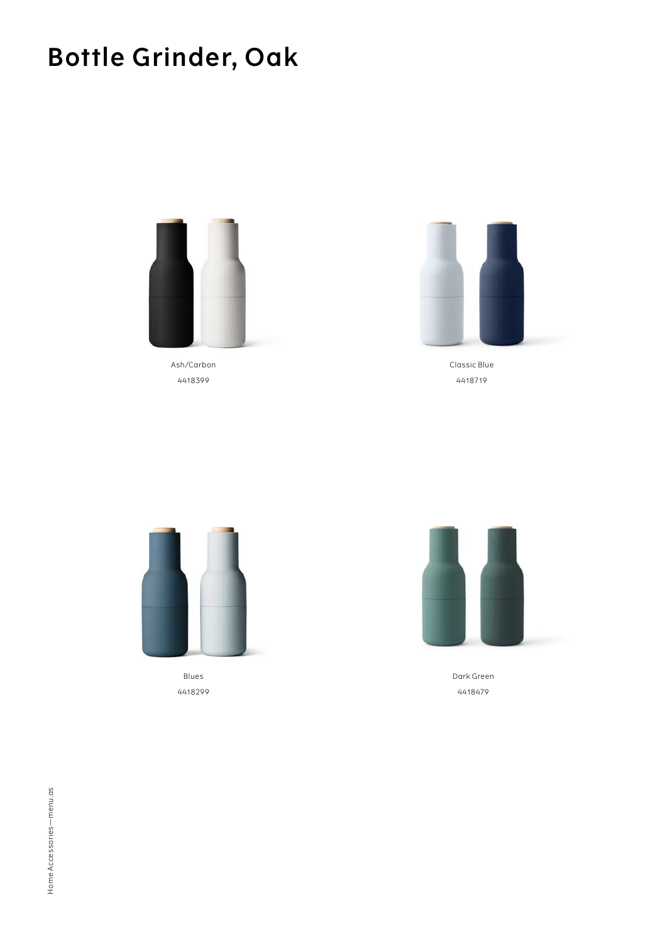# **Bottle Grinder, Oak**



Ash/Carbon 4418399



Classic Blue 4418719



Blues 4418299



Dark Green 4418479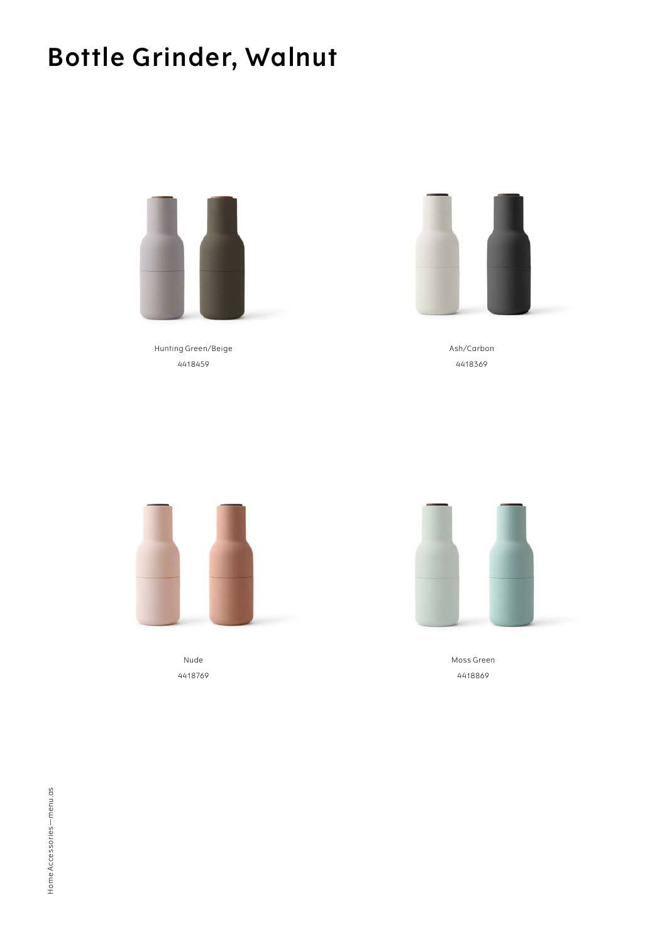# **Bottle Grinder, Walnut**



Hunting Green/Beige 4418459



Ash/Carbon 4418369



Nude 4418769



Moss Green 4418869